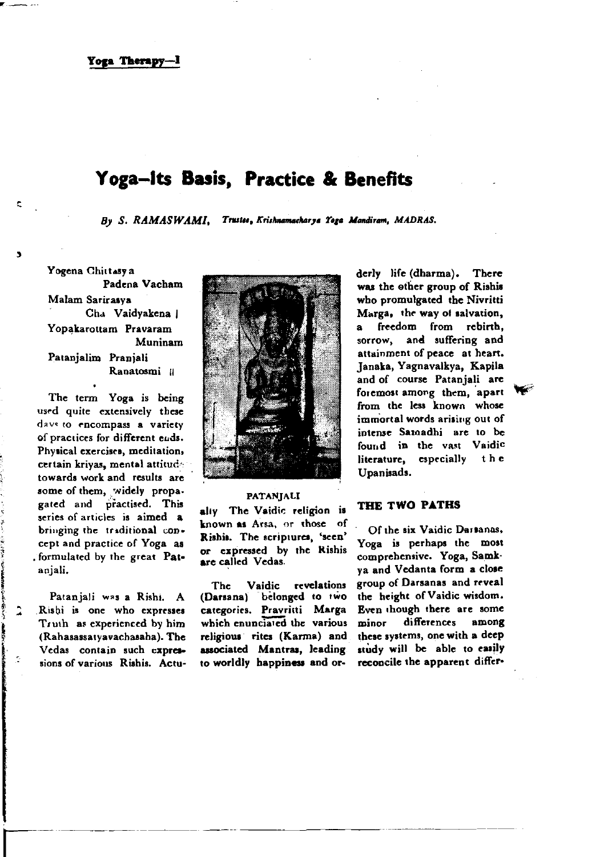# Yoga-Its Basis, Practice & Benefits

By S. RAMASWAMI. Trustee, Krishnamachar ya Toga Mandiram, MADRAS.

Yogena Chittasy a Padena Vacham Malam Sarirasva Cha Vaidvakena i Yopakarottam Pravaram Muninam Patanialim Praniali Ranatosmi #

The term Yoga is being used quite extensively these dave to encompass a variety of practices for different ends. Physical exercises, meditation, certain kriyas, mental attitude towards work and results are some of them, widely propagated and practised. This series of articles is aimed a bringing the traditional concept and practice of Yoga as . formulated by the great Pataniali.

Patanjali was a Rishi. A Rishi is one who expresses Truth as experienced by him (Rahasassatyavachasaha). The Vedas contain such expressions of various Rishis. Actu-



#### **PATANJALI**

aliv The Vaidic religion is known as Arsa, or those of Rishis. The scriptures, 'seen' or expressed by the Rishis are called Vedas.

Vaidic revelations The (Darsana) belonged to two categories. Pravritti Marga which enunciated the various religious rites (Karma) and associated Mantras, leading to worldly happiness and orderly life (dharma). There was the other group of Rishis who promulgated the Nivritti Marga, the way of salvation, freedom from rebirth.  $\mathbf{a}$ sorrow, and suffering and attainment of peace at heart. Janaka, Yagnavalkya, Kapila and of course Pataniali are foremost among them, apart from the less known whose immortal words arising out of intense Samadhi are to be found in the vast Vaidic literature, especially the Upanisads.

## THE TWO PATHS

Of the six Vaidic Darsanas. Yoga is perhaps the most comprehensive. Yoga, Samkva and Vedanta form a close group of Darsanas and reveal the height of Vaidic wisdom. Even though there are some differences among minor these systems, one with a deep study will be able to easily reconcile the apparent differ-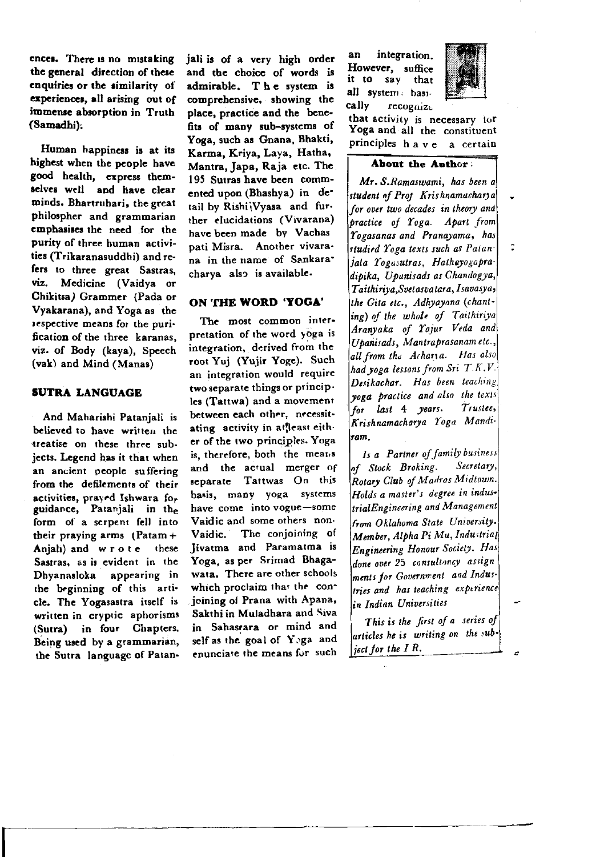ences. There is no mistaking the general direction of these enquiries or the similarity of experiences, all arising out of immense absorption in Truth (Samadhi).

Human happiness is at its highest when the people have good health, express themselves well and have clear minds. Bhartruhari, the great philospher and grammarian emphasises the need for the purity of three human activities (Trikaranasuddhi) and refers to three great Sastras, viz. Medicine (Vaidva or Chikitsa) Grammer (Pada or Vyakarana), and Yoga as the respective means for the purification of the three karanas. viz. of Body (kava). Speech (vak) and Mind (Manas)

### **SUTRA LANGUAGE**

And Maharishi Pataniali is believed to have written the treatise on these three subiects. Legend has it that when an ancient people suffering from the defilements of their activities, prayed Ishwara for guidance, Patanjali in the form of a serpent fell into their praying arms (Patam  $+$ Anjali) and wrote these Sastras, as is evident in the Dhvanasloka appearing in the beginning of this article. The Yogasastra itself is written in cryptic aphorisms (Sutra) in four Chapters. Being used by a grammarian, the Sutra language of Patan-

jali is of a very high order and the choice of words is admirable. The system is comprehensive, showing the place, practice and the benefits of many sub-systems of Yoga, such as Gnana, Bhakti, Karma, Kriya, Laya, Hatha, Mantra, Japa, Raja etc. The 195 Sutras have been commented upon (Bhashva) in detail by Rishi Vyasa and further elucidations (Vivarana) have been made by Vachas nati Misra. Another vivarana in the name of Sankaracharya also is available.

# ON THE WORD 'YOGA'

The most common interpretation of the word yoga is integration, derived from the root Yuj (Yujir Yoge). Such an integration would require two separate things or principles (Tattwa) and a movement between each other, necessitating activity in atleast either of the two principles. Yoga is therefore, both the means and the actual merger of separate Tattwas On this hasis, many yoga systems have come into vogue-some Vaidic and some others non-The conjoining of Vaidic. Iivatma and Paramatma is Yoga, as per Srimad Bhagawata. There are other schools which proclaim that the conicining of Prana with Apana, Sakthi in Muladhara and Siva in Sahasrara or mind and self as the goal of Yoga and enunciate the means for such

an. integration. However, suffice it to say that all system basically recognize



 $\ddot{ }$ 

that activity is necessary tor Yoga and all the constituent principles have a certain

## Ahout the Anthor:

Mr. S.Ramaswami, has been a student of Prot Krishnamacharya for over two decades in theory and practice of Yoga. Apart from Yogasanas and Pranayama, has studied Yoga texts such as Pataniala Yopasutras. Hathavogapradipika, Upanisads as Chandogya. Taithiriya, Svetasvatara, Isavasya, the Gita etc., Adhyayana (chanting) of the whole of Taithiriya Aranyaka of Yajur Veda and Upanisads, Mantraprasanam etc., all from the Acharia. Has also had yoga lessons from Sri T.K.V. Desikachar. Has been teaching voga practice and also the texts for last 4 years. Trustee, Krishnamacharya Yoga Mandiram.

Is a Partner of family business Secretary, of Stock Broking. Rotary Club of Madras Midtown. Holds a master's degree in industrialEngineering and Management from Oklahoma State University. Member, Alpha Pi Mu, Industrial Engineering Honour Society. Has done over 25 consultancy assign ments for Government and Industries and has teaching experience in Indian Universities

This is the first of a series of articles he is writing on the sub- $|$  ject for the IR.

 $\overline{a}$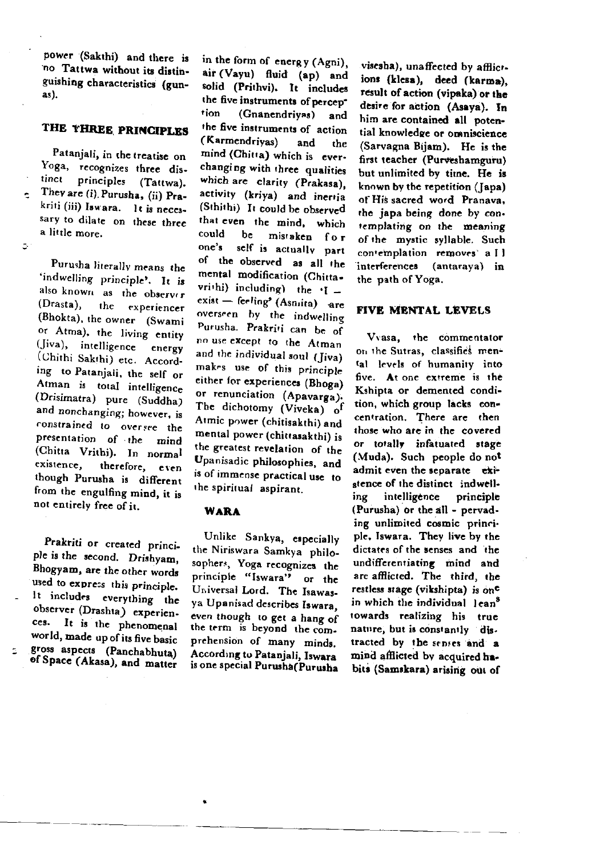power (Sakthi) and there is no Tattwa without its distinguishing characteristics (gunas).

## THE THREE PRINCIPLES

Pataniali, in the treatise on Yoga, recognizes three distinct principles (Tattwa). They are (i) Purusha, (ii) Prakriti (iii) Iswara. It is necessary to dilate on these three a little more.

Purusha literally means the 'indwelling principle'. It is also known as the observer (Drasta), the experiencer (Bhokta), the owner (Swami or Atma), the living entity (Jiva), intelligence energy (Chithi Sakthi) etc. According to Patanjali, the self or Atman is total intelligence (Drisimatra) pure (Suddha) and nonchanging; however, is constrained to oversee the presentation of the mind (Chitta Vrithi). In normal existence, therefore, even though Purusha is different from the engulfing mind, it is not entirely free of it.

Prakriti or created principle is the second. Drishyam, Bhogyam, are the other words used to express this principle. It includes everything the observer (Drashta) experiences. It is the phenomenal world, made up of its five basic gross aspects (Panchabhuta) of Space (Akasa), and matter

in the form of energy (Agni), air (Vayu) fluid (ap) and solid (Prithvi). It includes the five instruments of percep\* tion (Gnanendrivas) and the five instruments of action (Karmendriyas) and rha mind (Chitta) which is everchanging with three qualities which are clarity (Prakasa). activity (kriva) and inertia (Sthithi) It could be observed that even the mind, which could mistaken for be. one's self is actually part of the observed as all the mental modification (Chittavrithi) including) the  $\mathbf{f}$  exist - feeling<sup>\$</sup> (Asniita) are overseen by the indwelling Purusha. Prakriti can be of no use except to the Atman and the individual soul (Iiva) makes use of this principle either for experiences (Bhoga) or renunciation (Apavarga). The dichotomy (Viveka) of Atmic power (chitisakthi) and mental power (chittasakthi) is the greatest revelation of the Upanisadic philosophies, and is of immense practical use to the spiritual aspirant.

#### **WARA**

Unlike Sankya, especially the Niriswara Samkya philosophers, Yoga recognizes the principle "Iswara" or the Universal Lord. The Isawasva Upanisad describes Iswara. even though to get a hang of the term is beyond the comprehension of many minds. According to Patanjali, Iswara is one special Purusha (Purusha

visesha), unaffected by afflictions (klesa), deed (karma), result of action (vipaka) or the desire for action (Asaya). In him are contained all potential knowledge or omniscience (Sarvagna Bijam). He is the first teacher (Purveshamguru) but unlimited by time. He is known by the repetition (Iapa) of His sacred word Pranava, the japa being done by contemplating on the meaning of the mystic syllable. Such contemplation removes a II interferences (antarava) in the path of Yoga.

#### **FIVE MENTAL LEVELS**

Vvasa. the commentator on the Sutras, classifies mental levels of humanity into five. At one extreme is the Kshipta or demented condition, which group lacks concentration. There are then those who are in the covered or totally infatuated stage (Muda). Such people do not admit even the separate existence of the distinct indwelling intelligence principle (Purusha) or the all - pervading unlimited cosmic principle. Iswara. They live by the dictates of the senses and the undifferentiating mind and are afflicted. The third, the restless stage (vikshipta) is on<sup>e</sup> in which the individual lean<sup>5</sup> towards realizing his true nature, but is constantly distracted by the senses and a mind afflicted by acquired habits (Samskara) arising out of